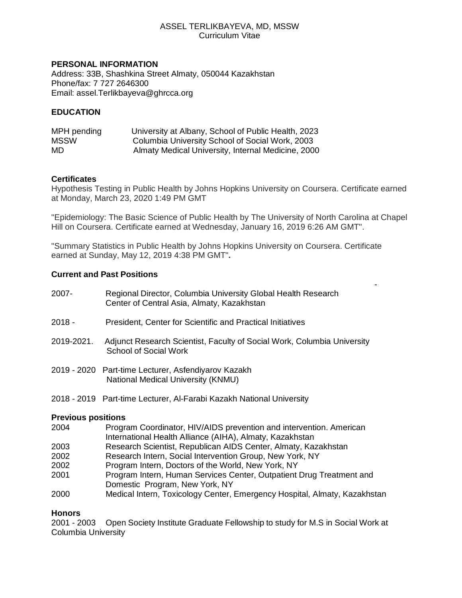### ASSEL TERLIKBAYEVA, MD, MSSW Curriculum Vitae

### **PERSONAL INFORMATION**

Address: 33B, Shashkina Street Almaty, 050044 Kazakhstan Phone/fax: 7 727 2646300 Email: assel.Terlikbayeva@ghrcca.org

## **EDUCATION**

| MPH pending | University at Albany, School of Public Health, 2023 |
|-------------|-----------------------------------------------------|
| MSSW        | Columbia University School of Social Work, 2003     |
| MD.         | Almaty Medical University, Internal Medicine, 2000  |

### **Certificates**

Hypothesis Testing in Public Health by Johns Hopkins University on Coursera. Certificate earned at Monday, March 23, 2020 1:49 PM GMT

"Epidemiology: The Basic Science of Public Health by The University of North Carolina at Chapel Hill on Coursera. Certificate earned at Wednesday, January 16, 2019 6:26 AM GMT".

-

"Summary Statistics in Public Health by Johns Hopkins University on Coursera. Certificate earned at Sunday, May 12, 2019 4:38 PM GMT"**.**

### **Current and Past Positions**

| 2007-      | Regional Director, Columbia University Global Health Research<br>Center of Central Asia, Almaty, Kazakhstan |
|------------|-------------------------------------------------------------------------------------------------------------|
| 2018 -     | President, Center for Scientific and Practical Initiatives                                                  |
| 2019-2021. | Adjunct Research Scientist, Faculty of Social Work, Columbia University<br>School of Social Work            |
|            | 2019 - 2020 Part-time Lecturer, Asfendiyarov Kazakh<br>National Medical University (KNMU)                   |
|            | 2018 - 2019 Part-time Lecturer, Al-Farabi Kazakh National University                                        |

#### **Previous positions**

| 2004 | Program Coordinator, HIV/AIDS prevention and intervention. American |
|------|---------------------------------------------------------------------|
|      | International Health Alliance (AIHA), Almaty, Kazakhstan            |
| nnnn | Dessenah Ostantiat Demuklisen AIDO Osmtan Almatu I/s-aldestan       |

- 2003 Research Scientist, Republican AIDS Center, Almaty, Kazakhstan
- 2002 Research Intern, Social Intervention Group, New York, NY
- 2002 Program Intern, Doctors of the World, New York, NY
- 2001 Program Intern, Human Services Center, Outpatient Drug Treatment and Domestic Program, New York, NY
- 2000 Medical Intern, Toxicology Center, Emergency Hospital, Almaty, Kazakhstan

## **Honors**

2001 - 2003 Open Society Institute Graduate Fellowship to study for M.S in Social Work at Columbia University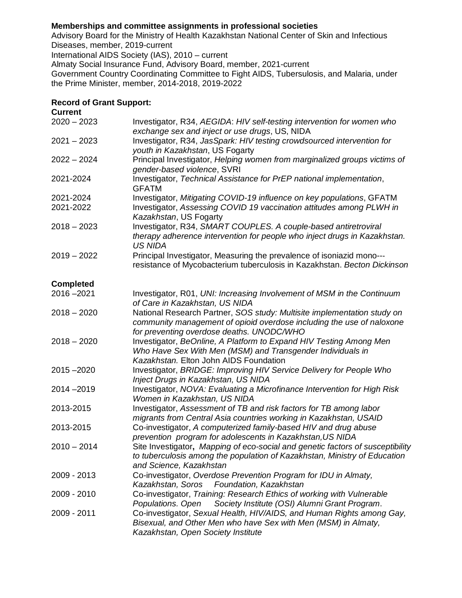## **Memberships and committee assignments in professional societies**

Advisory Board for the Ministry of Health Kazakhstan National Center of Skin and Infectious Diseases, member, 2019-current

International AIDS Society (IAS), 2010 – current

Almaty Social Insurance Fund, Advisory Board, member, 2021-current

Government Country Coordinating Committee to Fight AIDS, Tubersulosis, and Malaria, under the Prime Minister, member, 2014-2018, 2019-2022

### **Record of Grant Support:**

| <b>Current</b>         |                                                                                                                                                                                               |
|------------------------|-----------------------------------------------------------------------------------------------------------------------------------------------------------------------------------------------|
| $2020 - 2023$          | Investigator, R34, AEGIDA: HIV self-testing intervention for women who<br>exchange sex and inject or use drugs, US, NIDA                                                                      |
| $2021 - 2023$          | Investigator, R34, JasSpark: HIV testing crowdsourced intervention for<br>youth in Kazakhstan, US Fogarty                                                                                     |
| $2022 - 2024$          | Principal Investigator, Helping women from marginalized groups victims of<br>gender-based violence, SVRI                                                                                      |
| 2021-2024              | Investigator, Technical Assistance for PrEP national implementation,<br><b>GFATM</b>                                                                                                          |
| 2021-2024<br>2021-2022 | Investigator, Mitigating COVID-19 influence on key populations, GFATM<br>Investigator, Assessing COVID 19 vaccination attitudes among PLWH in<br>Kazakhstan, US Fogarty                       |
| $2018 - 2023$          | Investigator, R34, SMART COUPLES. A couple-based antiretroviral<br>therapy adherence intervention for people who inject drugs in Kazakhstan.<br><b>US NIDA</b>                                |
| $2019 - 2022$          | Principal Investigator, Measuring the prevalence of isoniazid mono---<br>resistance of Mycobacterium tuberculosis in Kazakhstan. Becton Dickinson                                             |
| <b>Completed</b>       |                                                                                                                                                                                               |
| $2016 - 2021$          | Investigator, R01, UNI: Increasing Involvement of MSM in the Continuum<br>of Care in Kazakhstan, US NIDA                                                                                      |
| $2018 - 2020$          | National Research Partner, SOS study: Multisite implementation study on<br>community management of opioid overdose including the use of naloxone<br>for preventing overdose deaths. UNODC/WHO |
| $2018 - 2020$          | Investigator, BeOnline, A Platform to Expand HIV Testing Among Men<br>Who Have Sex With Men (MSM) and Transgender Individuals in<br>Kazakhstan. Elton John AIDS Foundation                    |
| $2015 - 2020$          | Investigator, BRIDGE: Improving HIV Service Delivery for People Who<br>Inject Drugs in Kazakhstan, US NIDA                                                                                    |
| $2014 - 2019$          | Investigator, NOVA: Evaluating a Microfinance Intervention for High Risk<br>Women in Kazakhstan, US NIDA                                                                                      |
| 2013-2015              | Investigator, Assessment of TB and risk factors for TB among labor<br>migrants from Central Asia countries working in Kazakhstan, USAID                                                       |
| 2013-2015              | Co-investigator, A computerized family-based HIV and drug abuse<br>prevention program for adolescents in Kazakhstan, US NIDA                                                                  |
| $2010 - 2014$          | Site Investigator, Mapping of eco-social and genetic factors of susceptibility<br>to tuberculosis among the population of Kazakhstan, Ministry of Education<br>and Science, Kazakhstan        |
| 2009 - 2013            | Co-investigator, Overdose Prevention Program for IDU in Almaty,<br>Kazakhstan, Soros<br>Foundation, Kazakhstan                                                                                |
| 2009 - 2010            | Co-investigator, Training: Research Ethics of working with Vulnerable<br>Populations. Open<br>Society Institute (OSI) Alumni Grant Program.                                                   |
| 2009 - 2011            | Co-investigator, Sexual Health, HIV/AIDS, and Human Rights among Gay,<br>Bisexual, and Other Men who have Sex with Men (MSM) in Almaty,<br>Kazakhstan, Open Society Institute                 |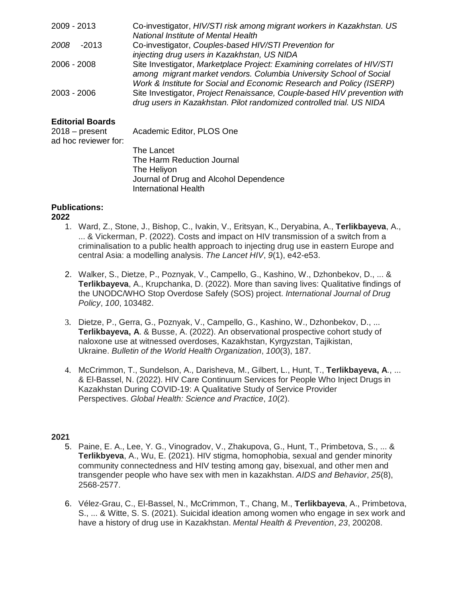| 2009 - 2013     | Co-investigator, HIV/STI risk among migrant workers in Kazakhstan. US                                                                            |
|-----------------|--------------------------------------------------------------------------------------------------------------------------------------------------|
|                 | <b>National Institute of Mental Health</b>                                                                                                       |
| 2008<br>$-2013$ | Co-investigator, Couples-based HIV/STI Prevention for                                                                                            |
|                 | injecting drug users in Kazakhstan, US NIDA                                                                                                      |
| 2006 - 2008     | Site Investigator, Marketplace Project: Examining correlates of HIV/STI                                                                          |
|                 | among migrant market vendors. Columbia University School of Social                                                                               |
|                 | Work & Institute for Social and Economic Research and Policy (ISERP)                                                                             |
| 2003 - 2006     | Site Investigator, Project Renaissance, Couple-based HIV prevention with<br>drug users in Kazakhstan. Pilot randomized controlled trial. US NIDA |

# **Editorial Boards**

| 2018 – present<br>ad hoc reviewer for: | Academic Editor, PLOS One              |
|----------------------------------------|----------------------------------------|
|                                        | The Lancet                             |
|                                        | The Harm Reduction Journal             |
|                                        | The Heliyon                            |
|                                        | Journal of Drug and Alcohol Dependence |
|                                        | <b>International Health</b>            |

# **Publications:**

## **2022**

- 1. Ward, Z., Stone, J., Bishop, C., Ivakin, V., Eritsyan, K., Deryabina, A., **Terlikbayeva**, A., ... & Vickerman, P. (2022). Costs and impact on HIV transmission of a switch from a criminalisation to a public health approach to injecting drug use in eastern Europe and central Asia: a modelling analysis. *The Lancet HIV*, *9*(1), e42-e53.
- 2. Walker, S., Dietze, P., Poznyak, V., Campello, G., Kashino, W., Dzhonbekov, D., ... & **Terlikbayeva**, A., Krupchanka, D. (2022). More than saving lives: Qualitative findings of the UNODC/WHO Stop Overdose Safely (SOS) project. *International Journal of Drug Policy*, *100*, 103482.
- 3. Dietze, P., Gerra, G., Poznyak, V., Campello, G., Kashino, W., Dzhonbekov, D., ... **Terlikbayeva, A**. & Busse, A. (2022). An observational prospective cohort study of naloxone use at witnessed overdoses, Kazakhstan, Kyrgyzstan, Tajikistan, Ukraine. *Bulletin of the World Health Organization*, *100*(3), 187.
- 4. McCrimmon, T., Sundelson, A., Darisheva, M., Gilbert, L., Hunt, T., **Terlikbayeva, A**., ... & El-Bassel, N. (2022). HIV Care Continuum Services for People Who Inject Drugs in Kazakhstan During COVID-19: A Qualitative Study of Service Provider Perspectives. *Global Health: Science and Practice*, *10*(2).

- 5. Paine, E. A., Lee, Y. G., Vinogradov, V., Zhakupova, G., Hunt, T., Primbetova, S., ... & **Terlikbyeva**, A., Wu, E. (2021). HIV stigma, homophobia, sexual and gender minority community connectedness and HIV testing among gay, bisexual, and other men and transgender people who have sex with men in kazakhstan. *AIDS and Behavior*, *25*(8), 2568-2577.
- 6. Vélez-Grau, C., El-Bassel, N., McCrimmon, T., Chang, M., **Terlikbayeva**, A., Primbetova, S., ... & Witte, S. S. (2021). Suicidal ideation among women who engage in sex work and have a history of drug use in Kazakhstan. *Mental Health & Prevention*, *23*, 200208.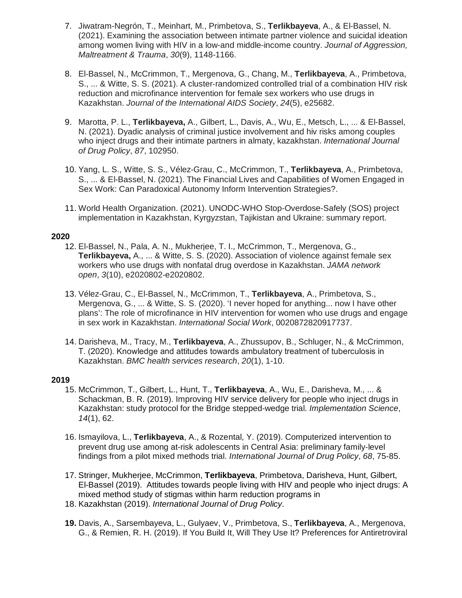- 7. Jiwatram-Negrón, T., Meinhart, M., Primbetova, S., **Terlikbayeva**, A., & El-Bassel, N. (2021). Examining the association between intimate partner violence and suicidal ideation among women living with HIV in a low-and middle-income country. *Journal of Aggression, Maltreatment & Trauma*, *30*(9), 1148-1166.
- 8. El‐Bassel, N., McCrimmon, T., Mergenova, G., Chang, M., **Terlikbayeva**, A., Primbetova, S., ... & Witte, S. S. (2021). A cluster‐randomized controlled trial of a combination HIV risk reduction and microfinance intervention for female sex workers who use drugs in Kazakhstan. *Journal of the International AIDS Society*, *24*(5), e25682.
- 9. Marotta, P. L., **Terlikbayeva,** A., Gilbert, L., Davis, A., Wu, E., Metsch, L., ... & El-Bassel, N. (2021). Dyadic analysis of criminal justice involvement and hiv risks among couples who inject drugs and their intimate partners in almaty, kazakhstan. *International Journal of Drug Policy*, *87*, 102950.
- 10. Yang, L. S., Witte, S. S., Vélez-Grau, C., McCrimmon, T., **Terlikbayeva**, A., Primbetova, S., ... & El-Bassel, N. (2021). The Financial Lives and Capabilities of Women Engaged in Sex Work: Can Paradoxical Autonomy Inform Intervention Strategies?.
- 11. World Health Organization. (2021). UNODC-WHO Stop-Overdose-Safely (SOS) project implementation in Kazakhstan, Kyrgyzstan, Tajikistan and Ukraine: summary report.

- 12. El-Bassel, N., Pala, A. N., Mukherjee, T. I., McCrimmon, T., Mergenova, G., **Terlikbayeva,** A., ... & Witte, S. S. (2020). Association of violence against female sex workers who use drugs with nonfatal drug overdose in Kazakhstan. *JAMA network open*, *3*(10), e2020802-e2020802.
- 13. Vélez-Grau, C., El-Bassel, N., McCrimmon, T., **Terlikbayeva**, A., Primbetova, S., Mergenova, G., ... & Witte, S. S. (2020). 'I never hoped for anything... now I have other plans': The role of microfinance in HIV intervention for women who use drugs and engage in sex work in Kazakhstan. *International Social Work*, 0020872820917737.
- 14. Darisheva, M., Tracy, M., **Terlikbayeva**, A., Zhussupov, B., Schluger, N., & McCrimmon, T. (2020). Knowledge and attitudes towards ambulatory treatment of tuberculоsis in Kazakhstan. *BMC health services research*, *20*(1), 1-10.

- 15. McCrimmon, T., Gilbert, L., Hunt, T., **Terlikbayeva**, A., Wu, E., Darisheva, M., ... & Schackman, B. R. (2019). Improving HIV service delivery for people who inject drugs in Kazakhstan: study protocol for the Bridge stepped-wedge trial. *Implementation Science*, *14*(1), 62.
- 16. Ismayilova, L., **Terlikbayeva**, A., & Rozental, Y. (2019). Computerized intervention to prevent drug use among at-risk adolescents in Central Asia: preliminary family-level findings from a pilot mixed methods trial. *International Journal of Drug Policy*, *68*, 75-85.
- 17. Stringer, Mukherjee, McCrimmon, **Terlikbayeva**, Primbetova, Darisheva, Hunt, Gilbert, El-Bassel (2019). Attitudes towards people living with HIV and people who inject drugs: A mixed method study of stigmas within harm reduction programs in
- 18. Kazakhstan (2019). *International Journal of Drug Policy*.
- **19.** Davis, A., Sarsembayeva, L., Gulyaev, V., Primbetova, S., **Terlikbayeva**, A., Mergenova, G., & Remien, R. H. (2019). If You Build It, Will They Use It? Preferences for Antiretroviral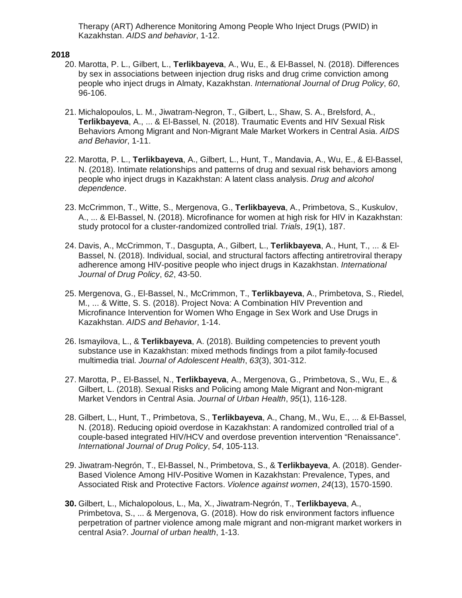Therapy (ART) Adherence Monitoring Among People Who Inject Drugs (PWID) in Kazakhstan. *AIDS and behavior*, 1-12.

- 20. Marotta, P. L., Gilbert, L., **Terlikbayeva**, A., Wu, E., & El-Bassel, N. (2018). Differences by sex in associations between injection drug risks and drug crime conviction among people who inject drugs in Almaty, Kazakhstan. *International Journal of Drug Policy*, *60*, 96-106.
- 21. Michalopoulos, L. M., Jiwatram-Negron, T., Gilbert, L., Shaw, S. A., Brelsford, A., **Terlikbayeva**, A., ... & El-Bassel, N. (2018). Traumatic Events and HIV Sexual Risk Behaviors Among Migrant and Non-Migrant Male Market Workers in Central Asia. *AIDS and Behavior*, 1-11.
- 22. Marotta, P. L., **Terlikbayeva**, A., Gilbert, L., Hunt, T., Mandavia, A., Wu, E., & El-Bassel, N. (2018). Intimate relationships and patterns of drug and sexual risk behaviors among people who inject drugs in Kazakhstan: A latent class analysis. *Drug and alcohol dependence*.
- 23. McCrimmon, T., Witte, S., Mergenova, G., **Terlikbayeva**, A., Primbetova, S., Kuskulov, A., ... & El-Bassel, N. (2018). Microfinance for women at high risk for HIV in Kazakhstan: study protocol for a cluster-randomized controlled trial. *Trials*, *19*(1), 187.
- 24. Davis, A., McCrimmon, T., Dasgupta, A., Gilbert, L., **Terlikbayeva**, A., Hunt, T., ... & El-Bassel, N. (2018). Individual, social, and structural factors affecting antiretroviral therapy adherence among HIV-positive people who inject drugs in Kazakhstan. *International Journal of Drug Policy*, *62*, 43-50.
- 25. Mergenova, G., El-Bassel, N., McCrimmon, T., **Terlikbayeva**, A., Primbetova, S., Riedel, M., ... & Witte, S. S. (2018). Project Nova: A Combination HIV Prevention and Microfinance Intervention for Women Who Engage in Sex Work and Use Drugs in Kazakhstan. *AIDS and Behavior*, 1-14.
- 26. Ismayilova, L., & **Terlikbayeva**, A. (2018). Building competencies to prevent youth substance use in Kazakhstan: mixed methods findings from a pilot family-focused multimedia trial. *Journal of Adolescent Health*, *63*(3), 301-312.
- 27. Marotta, P., El-Bassel, N., **Terlikbayeva**, A., Mergenova, G., Primbetova, S., Wu, E., & Gilbert, L. (2018). Sexual Risks and Policing among Male Migrant and Non-migrant Market Vendors in Central Asia. *Journal of Urban Health*, *95*(1), 116-128.
- 28. Gilbert, L., Hunt, T., Primbetova, S., **Terlikbayeva**, A., Chang, M., Wu, E., ... & El-Bassel, N. (2018). Reducing opioid overdose in Kazakhstan: A randomized controlled trial of a couple-based integrated HIV/HCV and overdose prevention intervention "Renaissance". *International Journal of Drug Policy*, *54*, 105-113.
- 29. Jiwatram-Negrón, T., El-Bassel, N., Primbetova, S., & **Terlikbayeva**, A. (2018). Gender-Based Violence Among HIV-Positive Women in Kazakhstan: Prevalence, Types, and Associated Risk and Protective Factors. *Violence against women*, *24*(13), 1570-1590.
- **30.** Gilbert, L., Michalopolous, L., Ma, X., Jiwatram-Negrón, T., **Terlikbayeva**, A., Primbetova, S., ... & Mergenova, G. (2018). How do risk environment factors influence perpetration of partner violence among male migrant and non-migrant market workers in central Asia?. *Journal of urban health*, 1-13.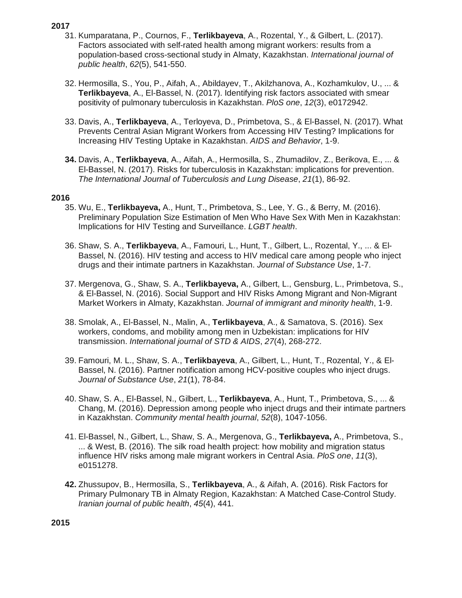- 31. Kumparatana, P., Cournos, F., **Terlikbayeva**, A., Rozental, Y., & Gilbert, L. (2017). Factors associated with self-rated health among migrant workers: results from a population-based cross-sectional study in Almaty, Kazakhstan. *International journal of public health*, *62*(5), 541-550.
- 32. Hermosilla, S., You, P., Aifah, A., Abildayev, T., Akilzhanova, A., Kozhamkulov, U., ... & **Terlikbayeva**, A., El-Bassel, N. (2017). Identifying risk factors associated with smear positivity of pulmonary tuberculosis in Kazakhstan. *PloS one*, *12*(3), e0172942.
- 33. Davis, A., **Terlikbayeva**, A., Terloyeva, D., Primbetova, S., & El-Bassel, N. (2017). What Prevents Central Asian Migrant Workers from Accessing HIV Testing? Implications for Increasing HIV Testing Uptake in Kazakhstan. *AIDS and Behavior*, 1-9.
- **34.** Davis, A., **Terlikbayeva**, A., Aifah, A., Hermosilla, S., Zhumadilov, Z., Berikova, E., ... & El-Bassel, N. (2017). Risks for tuberculosis in Kazakhstan: implications for prevention. *The International Journal of Tuberculosis and Lung Disease*, *21*(1), 86-92.

## **2016**

- 35. Wu, E., **Terlikbayeva,** A., Hunt, T., Primbetova, S., Lee, Y. G., & Berry, M. (2016). Preliminary Population Size Estimation of Men Who Have Sex With Men in Kazakhstan: Implications for HIV Testing and Surveillance. *LGBT health*.
- 36. Shaw, S. A., **Terlikbayeva**, A., Famouri, L., Hunt, T., Gilbert, L., Rozental, Y., ... & El-Bassel, N. (2016). HIV testing and access to HIV medical care among people who inject drugs and their intimate partners in Kazakhstan. *Journal of Substance Use*, 1-7.
- 37. Mergenova, G., Shaw, S. A., **Terlikbayeva,** A., Gilbert, L., Gensburg, L., Primbetova, S., & El-Bassel, N. (2016). Social Support and HIV Risks Among Migrant and Non-Migrant Market Workers in Almaty, Kazakhstan. *Journal of immigrant and minority health*, 1-9.
- 38. Smolak, A., El-Bassel, N., Malin, A., **Terlikbayeva**, A., & Samatova, S. (2016). Sex workers, condoms, and mobility among men in Uzbekistan: implications for HIV transmission. *International journal of STD & AIDS*, *27*(4), 268-272.
- 39. Famouri, M. L., Shaw, S. A., **Terlikbayeva**, A., Gilbert, L., Hunt, T., Rozental, Y., & El-Bassel, N. (2016). Partner notification among HCV-positive couples who inject drugs. *Journal of Substance Use*, *21*(1), 78-84.
- 40. Shaw, S. A., El-Bassel, N., Gilbert, L., **Terlikbayeva**, A., Hunt, T., Primbetova, S., ... & Chang, M. (2016). Depression among people who inject drugs and their intimate partners in Kazakhstan. *Community mental health journal*, *52*(8), 1047-1056.
- 41. El-Bassel, N., Gilbert, L., Shaw, S. A., Mergenova, G., **Terlikbayeva,** A., Primbetova, S., ... & West, B. (2016). The silk road health project: how mobility and migration status influence HIV risks among male migrant workers in Central Asia. *PloS one*, *11*(3), e0151278.
- **42.** Zhussupov, B., Hermosilla, S., **Terlikbayeva**, A., & Aifah, A. (2016). Risk Factors for Primary Pulmonary TB in Almaty Region, Kazakhstan: A Matched Case-Control Study. *Iranian journal of public health*, *45*(4), 441.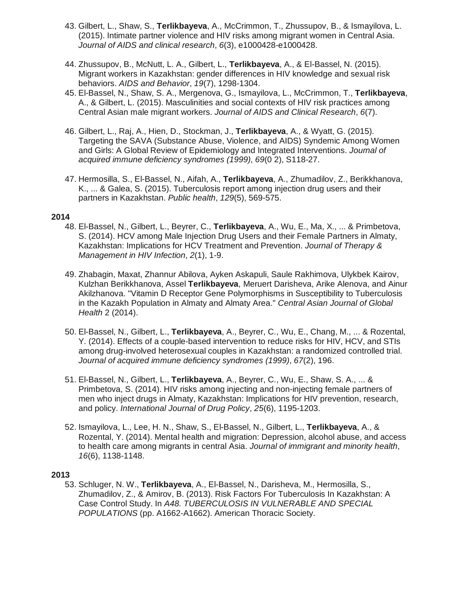- 43. Gilbert, L., Shaw, S., **Terlikbayeva**, A., McCrimmon, T., Zhussupov, B., & Ismayilova, L. (2015). Intimate partner violence and HIV risks among migrant women in Central Asia. *Journal of AIDS and clinical research*, *6*(3), e1000428-e1000428.
- 44. Zhussupov, B., McNutt, L. A., Gilbert, L., **Terlikbayeva**, A., & El-Bassel, N. (2015). Migrant workers in Kazakhstan: gender differences in HIV knowledge and sexual risk behaviors. *AIDS and Behavior*, *19*(7), 1298-1304.
- 45. El-Bassel, N., Shaw, S. A., Mergenova, G., Ismayilova, L., McCrimmon, T., **Terlikbayeva**, A., & Gilbert, L. (2015). Masculinities and social contexts of HIV risk practices among Central Asian male migrant workers. *Journal of AIDS and Clinical Research*, *6*(7).
- 46. Gilbert, L., Raj, A., Hien, D., Stockman, J., **Terlikbayeva**, A., & Wyatt, G. (2015). Targeting the SAVA (Substance Abuse, Violence, and AIDS) Syndemic Among Women and Girls: A Global Review of Epidemiology and Integrated Interventions. *Journal of acquired immune deficiency syndromes (1999)*, *69*(0 2), S118-27.
- 47. Hermosilla, S., El-Bassel, N., Aifah, A., **Terlikbayeva**, A., Zhumadilov, Z., Berikkhanova, K., ... & Galea, S. (2015). Tuberculosis report among injection drug users and their partners in Kazakhstan. *Public health*, *129*(5), 569-575.

- 48. El-Bassel, N., Gilbert, L., Beyrer, C., **Terlikbayeva**, A., Wu, E., Ma, X., ... & Primbetova, S. (2014). HCV among Male Injection Drug Users and their Female Partners in Almaty, Kazakhstan: Implications for HCV Treatment and Prevention. *Journal of Therapy & Management in HIV Infection*, *2*(1), 1-9.
- 49. Zhabagin, Maxat, Zhannur Abilova, Ayken Askapuli, Saule Rakhimova, Ulykbek Kairov, Kulzhan Berikkhanova, Assel **Terlikbayeva**, Meruert Darisheva, Arike Alenova, and Ainur Akilzhanova. "Vitamin D Receptor Gene Polymorphisms in Susceptibility to Tuberculosis in the Kazakh Population in Almaty and Almaty Area." *Central Asian Journal of Global Health* 2 (2014).
- 50. El-Bassel, N., Gilbert, L., **Terlikbayeva**, A., Beyrer, C., Wu, E., Chang, M., ... & Rozental, Y. (2014). Effects of a couple-based intervention to reduce risks for HIV, HCV, and STIs among drug-involved heterosexual couples in Kazakhstan: a randomized controlled trial. *Journal of acquired immune deficiency syndromes (1999)*, *67*(2), 196.
- 51. El-Bassel, N., Gilbert, L., **Terlikbayeva**, A., Beyrer, C., Wu, E., Shaw, S. A., ... & Primbetova, S. (2014). HIV risks among injecting and non-injecting female partners of men who inject drugs in Almaty, Kazakhstan: Implications for HIV prevention, research, and policy. *International Journal of Drug Policy*, *25*(6), 1195-1203.
- 52. Ismayilova, L., Lee, H. N., Shaw, S., El-Bassel, N., Gilbert, L., **Terlikbayeva**, A., & Rozental, Y. (2014). Mental health and migration: Depression, alcohol abuse, and access to health care among migrants in central Asia. *Journal of immigrant and minority health*, *16*(6), 1138-1148.

## **2013**

53. Schluger, N. W., **Terlikbayeva**, A., El-Bassel, N., Darisheva, M., Hermosilla, S., Zhumadilov, Z., & Amirov, B. (2013). Risk Factors For Tuberculosis In Kazakhstan: A Case Control Study. In *A48. TUBERCULOSIS IN VULNERABLE AND SPECIAL POPULATIONS* (pp. A1662-A1662). American Thoracic Society.